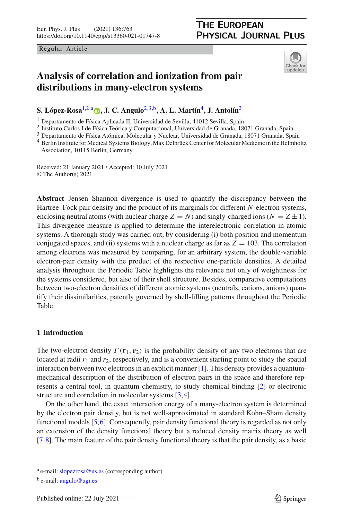Regular Article

## **THE EUROPEAN PHYSICAL JOURNAL PLUS**

<span id="page-0-2"></span><span id="page-0-1"></span><span id="page-0-0"></span>

# **Analysis of correlation and ionization from pair distributions in many-electron systems**

**S. López-Rosa**[1,2,](#page-0-0)a **[,](http://orcid.org/0000-0002-7667-8462) J. C. Angulo**[2](#page-0-0)[,3,](#page-0-1)b**, A. L. Martín**[4](#page-0-2)**, J. Antolín**[2](#page-0-0)

<sup>1</sup> Departamento de Física Aplicada II, Universidad de Sevilla, 41012 Sevilla, Spain

<sup>2</sup> Instituto Carlos I de Física Teórica y Computacional, Universidad de Granada, 18071 Granada, Spain

<sup>3</sup> Departamento de Física Atómica, Molecular y Nuclear, Universidad de Granada, 18071 Granada, Spain

<sup>4</sup> Berlin Institute for Medical Systems Biology, Max Delbrück Center for Molecular Medicine in the Helmholtz Association, 10115 Berlin, Germany

Received: 21 January 2021 / Accepted: 10 July 2021 © The Author(s) 2021

**Abstract** Jensen–Shannon divergence is used to quantify the discrepancy between the Hartree–Fock pair density and the product of its marginals for different *N*-electron systems, enclosing neutral atoms (with nuclear charge  $Z = N$ ) and singly-charged ions ( $N = Z \pm 1$ ). This divergence measure is applied to determine the interelectronic correlation in atomic systems. A thorough study was carried out, by considering (i) both position and momentum conjugated spaces, and (ii) systems with a nuclear charge as far as  $Z = 103$ . The correlation among electrons was measured by comparing, for an arbitrary system, the double-variable electron-pair density with the product of the respective one-particle densities. A detailed analysis throughout the Periodic Table highlights the relevance not only of weightiness for the systems considered, but also of their shell structure. Besides, comparative computations between two-electron densities of different atomic systems (neutrals, cations, anions) quantify their dissimilarities, patently governed by shell-filling patterns throughout the Periodic Table.

## **1 Introduction**

The two-electron density  $\Gamma(\mathbf{r}_1, \mathbf{r}_2)$  is the probability density of any two electrons that are located at radii  $r_1$  and  $r_2$ , respectively, and is a convenient starting point to study the spatial interaction between two electrons in an explicit manner [\[1\]](#page-13-0). This density provides a quantummechanical description of the distribution of electron pairs in the space and therefore represents a central tool, in quantum chemistry, to study chemical binding [\[2\]](#page-13-1) or electronic structure and correlation in molecular systems [\[3](#page-13-2)[,4](#page-13-3)].

On the other hand, the exact interaction energy of a many-electron system is determined by the electron pair density, but is not well-approximated in standard Kohn–Sham density functional models [\[5](#page-13-4)[,6\]](#page-13-5). Consequently, pair density functional theory is regarded as not only an extension of the density functional theory but a reduced density matrix theory as well [\[7](#page-13-6)[,8\]](#page-13-7). The main feature of the pair density functional theory is that the pair density, as a basic

a e-mail: [slopezrosa@us.es](mailto:slopezrosa@us.es) (corresponding author)

<sup>b</sup> e-mail: [angulo@ugr.es](mailto:angulo@ugr.es)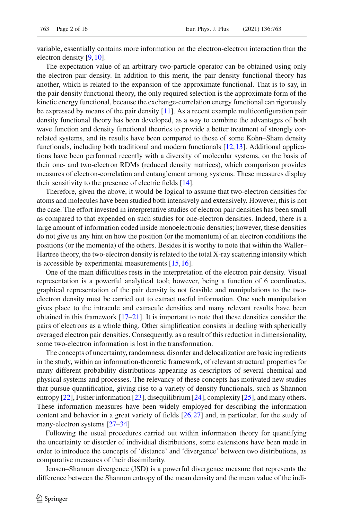variable, essentially contains more information on the electron-electron interaction than the electron density [\[9,](#page-13-8)[10](#page-13-9)].

The expectation value of an arbitrary two-particle operator can be obtained using only the electron pair density. In addition to this merit, the pair density functional theory has another, which is related to the expansion of the approximate functional. That is to say, in the pair density functional theory, the only required selection is the approximate form of the kinetic energy functional, because the exchange-correlation energy functional can rigorously be expressed by means of the pair density  $[11]$  $[11]$ . As a recent example multiconfiguration pair density functional theory has been developed, as a way to combine the advantages of both wave function and density functional theories to provide a better treatment of strongly correlated systems, and its results have been compared to those of some Kohn–Sham density functionals, including both traditional and modern functionals [\[12,](#page-14-0)[13](#page-14-1)]. Additional applications have been performed recently with a diversity of molecular systems, on the basis of their one- and two-electron RDMs (reduced density matrices), which comparison provides measures of electron-correlation and entanglement among systems. These measures display their sensitivity to the presence of electric fields [\[14](#page-14-2)].

Therefore, given the above, it would be logical to assume that two-electron densities for atoms and molecules have been studied both intensively and extensively. However, this is not the case. The effort invested in interpretative studies of electron pair densities has been small as compared to that expended on such studies for one-electron densities. Indeed, there is a large amount of information coded inside monoelectronic densities; however, these densities do not give us any hint on how the position (or the momentum) of an electron conditions the positions (or the momenta) of the others. Besides it is worthy to note that within the Waller– Hartree theory, the two-electron density is related to the total X-ray scattering intensity which is accessible by experimental measurements [\[15](#page-14-3)[,16\]](#page-14-4).

One of the main difficulties rests in the interpretation of the electron pair density. Visual representation is a powerful analytical tool; however, being a function of 6 coordinates, graphical representation of the pair density is not feasible and manipulations to the twoelectron density must be carried out to extract useful information. One such manipulation gives place to the intracule and extracule densities and many relevant results have been obtained in this framework [\[17](#page-14-5)[–21](#page-14-6)]. It is important to note that these densities consider the pairs of electrons as a whole thing. Other simplification consists in dealing with spherically averaged electron pair densities. Consequently, as a result of this reduction in dimensionality, some two-electron information is lost in the transformation.

The concepts of uncertainty, randomness, disorder and delocalization are basic ingredients in the study, within an information-theoretic framework, of relevant structural properties for many different probability distributions appearing as descriptors of several chemical and physical systems and processes. The relevancy of these concepts has motivated new studies that pursue quantification, giving rise to a variety of density functionals, such as Shannon entropy [\[22](#page-14-7)], Fisher information [\[23\]](#page-14-8), disequilibrium [\[24\]](#page-14-9), complexity [\[25](#page-14-10)], and many others. These information measures have been widely employed for describing the information content and behavior in a great variety of fields [\[26,](#page-14-11)[27](#page-14-12)] and, in particular, for the study of many-electron systems [\[27](#page-14-12)[–34](#page-14-13)]

Following the usual procedures carried out within information theory for quantifying the uncertainty or disorder of individual distributions, some extensions have been made in order to introduce the concepts of 'distance' and 'divergence' between two distributions, as comparative measures of their dissimilarity.

Jensen–Shannon divergence (JSD) is a powerful divergence measure that represents the difference between the Shannon entropy of the mean density and the mean value of the indi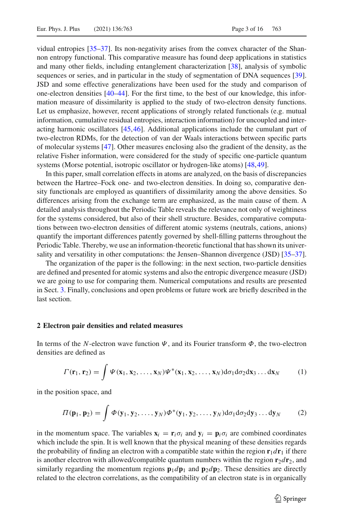vidual entropies [\[35](#page-14-14)[–37](#page-14-15)]. Its non-negativity arises from the convex character of the Shannon entropy functional. This comparative measure has found deep applications in statistics and many other fields, including entanglement characterization [\[38](#page-14-16)], analysis of symbolic sequences or series, and in particular in the study of segmentation of DNA sequences [\[39\]](#page-14-17). JSD and some effective generalizations have been used for the study and comparison of one-electron densities [\[40](#page-14-18)[–44](#page-15-0)]. For the first time, to the best of our knowledge, this information measure of dissimilarity is applied to the study of two-electron density functions. Let us emphasize, however, recent applications of strongly related functionals (e.g. mutual information, cumulative residual entropies, interaction information) for uncoupled and interacting harmonic oscillators [\[45,](#page-15-1)[46](#page-15-2)]. Additional applications include the cumulant part of two-electron RDMs, for the detection of van der Waals interactions between specific parts of molecular systems [\[47\]](#page-15-3). Other measures enclosing also the gradient of the density, as the relative Fisher information, were considered for the study of specific one-particle quantum systems (Morse potential, isotropic oscillator or hydrogen-like atoms) [\[48](#page-15-4),[49](#page-15-5)].

In this paper, small correlation effects in atoms are analyzed, on the basis of discrepancies between the Hartree–Fock one- and two-electron densities. In doing so, comparative density functionals are employed as quantifiers of dissimilarity among the above densities. So differences arising from the exchange term are emphasized, as the main cause of them. A detailed analysis throughout the Periodic Table reveals the relevance not only of weightiness for the systems considered, but also of their shell structure. Besides, comparative computations between two-electron densities of different atomic systems (neutrals, cations, anions) quantify the important differences patently governed by shell-filling patterns throughout the Periodic Table. Thereby, we use an information-theoretic functional that has shown its univer-sality and versatility in other computations: the Jensen–Shannon divergence (JSD) [\[35](#page-14-14)[–37\]](#page-14-15).

The organization of the paper is the following: in the next section, two-particle densities are defined and presented for atomic systems and also the entropic divergence measure (JSD) we are going to use for comparing them. Numerical computations and results are presented in Sect. [3.](#page-4-0) Finally, conclusions and open problems or future work are briefly described in the last section.

#### **2 Electron pair densities and related measures**

In terms of the *N*-electron wave function  $\Psi$ , and its Fourier transform  $\Phi$ , the two-electron densities are defined as

$$
\Gamma(\mathbf{r}_1,\mathbf{r}_2)=\int \Psi(\mathbf{x}_1,\mathbf{x}_2,\ldots,\mathbf{x}_N)\Psi^*(\mathbf{x}_1,\mathbf{x}_2,\ldots,\mathbf{x}_N)d\sigma_1 d\sigma_2 d\mathbf{x}_3\ldots d\mathbf{x}_N\qquad(1)
$$

in the position space, and

$$
\Pi(\mathbf{p}_1, \mathbf{p}_2) = \int \Phi(\mathbf{y}_1, \mathbf{y}_2, \dots, \mathbf{y}_N) \Phi^*(\mathbf{y}_1, \mathbf{y}_2, \dots, \mathbf{y}_N) d\sigma_1 d\sigma_2 d\mathbf{y}_3 \dots d\mathbf{y}_N
$$
 (2)

in the momentum space. The variables  $\mathbf{x}_i = \mathbf{r}_i \sigma_i$  and  $\mathbf{y}_i = \mathbf{p}_i \sigma_i$  are combined coordinates which include the spin. It is well known that the physical meaning of these densities regards the probability of finding an electron with a compatible state within the region  $\mathbf{r}_1 d\mathbf{r}_1$  if there is another electron with allowed/compatible quantum numbers within the region  $\mathbf{r}_2 d\mathbf{r}_2$ , and similarly regarding the momentum regions  $\mathbf{p}_1 d\mathbf{p}_1$  and  $\mathbf{p}_2 d\mathbf{p}_2$ . These densities are directly related to the electron correlations, as the compatibility of an electron state is in organically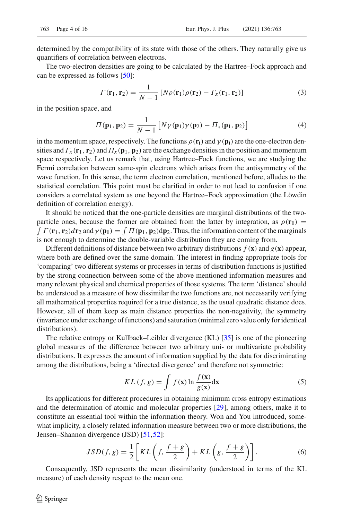determined by the compatibility of its state with those of the others. They naturally give us quantifiers of correlation between electrons.

The two-electron densities are going to be calculated by the Hartree–Fock approach and can be expressed as follows [\[50\]](#page-15-6):

$$
\Gamma(\mathbf{r}_1, \mathbf{r}_2) = \frac{1}{N-1} \left[ N \rho(\mathbf{r}_1) \rho(\mathbf{r}_2) - \Gamma_x(\mathbf{r}_1, \mathbf{r}_2) \right]
$$
(3)

in the position space, and

$$
\Pi(\mathbf{p}_1, \mathbf{p}_2) = \frac{1}{N-1} \left[ N \gamma(\mathbf{p}_1) \gamma(\mathbf{p}_2) - \Pi_x(\mathbf{p}_1, \mathbf{p}_2) \right]
$$
(4)

in the momentum space, respectively. The functions  $\rho(\mathbf{r_i})$  and  $\gamma(\mathbf{p_i})$  are the one-electron densities and  $\Gamma_x(\mathbf{r}_1, \mathbf{r}_2)$  and  $\Pi_x(\mathbf{p}_1, \mathbf{p}_2)$  are the exchange densities in the position and momentum space respectively. Let us remark that, using Hartree–Fock functions, we are studying the Fermi correlation between same-spin electrons which arises from the antisymmetry of the wave function. In this sense, the term electron correlation, mentioned before, alludes to the statistical correlation. This point must be clarified in order to not lead to confusion if one considers a correlated system as one beyond the Hartree–Fock approximation (the Löwdin definition of correlation energy).

It should be noticed that the one-particle densities are marginal distributions of the twoparticle ones, because the former are obtained from the latter by integration, as  $\rho(\mathbf{r}_1) = \int \Gamma(\mathbf{r}_1, \mathbf{r}_2) d\mathbf{r}_2$  and  $\gamma(\mathbf{p}_1) = \int \Pi(\mathbf{p}_1, \mathbf{p}_2) d\mathbf{p}_2$ . Thus, the information content of the marginals is not enough to determine the double-variable distribution they are coming from.

Different definitions of distance between two arbitrary distributions  $f(\mathbf{x})$  and  $g(\mathbf{x})$  appear, where both are defined over the same domain. The interest in finding appropriate tools for 'comparing' two different systems or processes in terms of distribution functions is justified by the strong connection between some of the above mentioned information measures and many relevant physical and chemical properties of those systems. The term 'distance' should be understood as a measure of how dissimilar the two functions are, not necessarily verifying all mathematical properties required for a true distance, as the usual quadratic distance does. However, all of them keep as main distance properties the non-negativity, the symmetry (invariance under exchange of functions) and saturation (minimal zero value only for identical distributions).

The relative entropy or Kullback–Leibler divergence (KL) [\[35](#page-14-14)] is one of the pioneering global measures of the difference between two arbitrary uni- or multivariate probability distributions. It expresses the amount of information supplied by the data for discriminating among the distributions, being a 'directed divergence' and therefore not symmetric:

$$
KL(f, g) = \int f(\mathbf{x}) \ln \frac{f(\mathbf{x})}{g(\mathbf{x})} d\mathbf{x}
$$
 (5)

Its applications for different procedures in obtaining minimum cross entropy estimations and the determination of atomic and molecular properties [\[29\]](#page-14-19), among others, make it to constitute an essential tool within the information theory. Won and You introduced, somewhat implicity, a closely related information measure between two or more distributions, the Jensen–Shannon divergence (JSD) [\[51](#page-15-7)[,52\]](#page-15-8):

$$
JSD(f, g) = \frac{1}{2} \left[ KL\left(f, \frac{f+g}{2}\right) + KL\left(g, \frac{f+g}{2}\right) \right].
$$
 (6)

Consequently, JSD represents the mean dissimilarity (understood in terms of the KL measure) of each density respect to the mean one.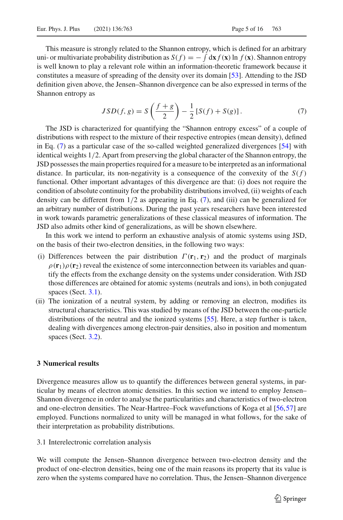This measure is strongly related to the Shannon entropy, which is defined for an arbitrary uni- or multivariate probability distribution as  $S(f) = -\int dx f(\mathbf{x}) \ln f(\mathbf{x})$ . Shannon entropy is well known to play a relevant role within an information-theoretic framework because it constitutes a measure of spreading of the density over its domain [\[53\]](#page-15-9). Attending to the JSD definition given above, the Jensen–Shannon divergence can be also expressed in terms of the Shannon entropy as

<span id="page-4-1"></span>
$$
JSD(f, g) = S\left(\frac{f+g}{2}\right) - \frac{1}{2}[S(f) + S(g)].
$$
\n(7)

The JSD is characterized for quantifying the "Shannon entropy excess" of a couple of distributions with respect to the mixture of their respective entropies (mean density), defined in Eq. [\(7\)](#page-4-1) as a particular case of the so-called weighted generalized divergences [\[54](#page-15-10)] with identical weights 1/2. Apart from preserving the global character of the Shannon entropy, the JSD possesses the main properties required for a measure to be interpreted as an informational distance. In particular, its non-negativity is a consequence of the convexity of the  $S(f)$ functional. Other important advantages of this divergence are that: (i) does not require the condition of absolute continuity for the probability distributions involved, (ii) weights of each density can be different from 1/2 as appearing in Eq. [\(7\)](#page-4-1), and (iii) can be generalized for an arbitrary number of distributions. During the past years researchers have been interested in work towards parametric generalizations of these classical measures of information. The JSD also admits other kind of generalizations, as will be shown elsewhere.

In this work we intend to perform an exhaustive analysis of atomic systems using JSD, on the basis of their two-electron densities, in the following two ways:

- (i) Differences between the pair distribution  $\Gamma(\mathbf{r}_1, \mathbf{r}_2)$  and the product of marginals  $\rho(\mathbf{r}_1)\rho(\mathbf{r}_2)$  reveal the existence of some interconnection between its variables and quantify the effects from the exchange density on the systems under consideration. With JSD those differences are obtained for atomic systems (neutrals and ions), in both conjugated spaces (Sect. [3.1\)](#page-4-2).
- (ii) The ionization of a neutral system, by adding or removing an electron, modifies its structural characteristics. This was studied by means of the JSD between the one-particle distributions of the neutral and the ionized systems [\[55\]](#page-15-11). Here, a step further is taken, dealing with divergences among electron-pair densities, also in position and momentum spaces (Sect. [3.2\)](#page-7-0).

#### <span id="page-4-0"></span>**3 Numerical results**

Divergence measures allow us to quantify the differences between general systems, in particular by means of electron atomic densities. In this section we intend to employ Jensen– Shannon divergence in order to analyse the particularities and characteristics of two-electron and one-electron densities. The Near-Hartree–Fock wavefunctions of Koga et al [\[56](#page-15-12),[57](#page-15-13)] are employed. Functions normalized to unity will be managed in what follows, for the sake of their interpretation as probability distributions.

<span id="page-4-2"></span>3.1 Interelectronic correlation analysis

We will compute the Jensen–Shannon divergence between two-electron density and the product of one-electron densities, being one of the main reasons its property that its value is zero when the systems compared have no correlation. Thus, the Jensen–Shannon divergence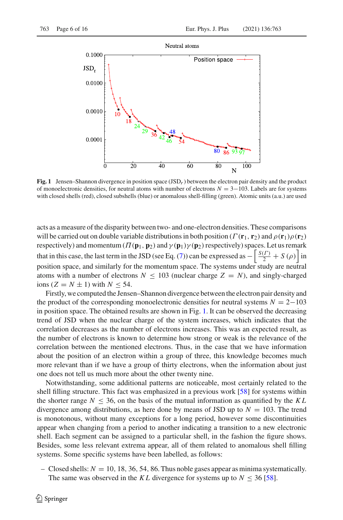

<span id="page-5-0"></span>**Fig. 1** Jensen–Shannon divergence in position space (JSD*r*) between the electron pair density and the product of monoelectronic densities, for neutral atoms with number of electrons *N* = 3−103. Labels are for systems with closed shells (red), closed subshells (blue) or anomalous shell-filling (green). Atomic units (a.u.) are used

acts as a measure of the disparity between two- and one-electron densities. These comparisons will be carried out on double variable distributions in both position ( $\Gamma(\mathbf{r}_1, \mathbf{r}_2)$  and  $\rho(\mathbf{r}_1)\rho(\mathbf{r}_2)$ ) respectively) and momentum  $(\Pi(\mathbf{p}_1, \mathbf{p}_2))$  and  $\gamma(\mathbf{p}_1)\gamma(\mathbf{p}_2)$  respectively) spaces. Let us remark that in this case, the last term in the JSD (see Eq. [\(7\)](#page-4-1)) can be expressed as  $-\left|\frac{S(\Gamma)}{2}+S(\rho)\right|$  in position space, and similarly for the momentum space. The systems under study are neutral atoms with a number of electrons  $N \leq 103$  (nuclear charge  $Z = N$ ), and singly-charged  $\text{ions } (Z = N \pm 1) \text{ with } N < 54.$ 

Firstly, we computed the Jensen–Shannon divergence between the electron pair density and the product of the corresponding monoelectronic densities for neutral systems  $N = 2-103$ in position space. The obtained results are shown in Fig. [1.](#page-5-0) It can be observed the decreasing trend of JSD when the nuclear charge of the system increases, which indicates that the correlation decreases as the number of electrons increases. This was an expected result, as the number of electrons is known to determine how strong or weak is the relevance of the correlation between the mentioned electrons. Thus, in the case that we have information about the position of an electron within a group of three, this knowledge becomes much more relevant than if we have a group of thirty electrons, when the information about just one does not tell us much more about the other twenty nine.

Notwithstanding, some additional patterns are noticeable, most certainly related to the shell filling structure. This fact was emphasized in a previous work [\[58](#page-15-14)] for systems within the shorter range  $N \leq 36$ , on the basis of the mutual information as quantified by the KL divergence among distributions, as here done by means of JSD up to  $N = 103$ . The trend is monotonous, without many exceptions for a long period, however some discontinuities appear when changing from a period to another indicating a transition to a new electronic shell. Each segment can be assigned to a particular shell, in the fashion the figure shows. Besides, some less relevant extrema appear, all of them related to anomalous shell filling systems. Some specific systems have been labelled, as follows:

– Closed shells:  $N = 10, 18, 36, 54, 86$ . Thus noble gases appear as minima systematically. The same was observed in the *KL* divergence for systems up to  $N \leq 36$  [\[58\]](#page-15-14).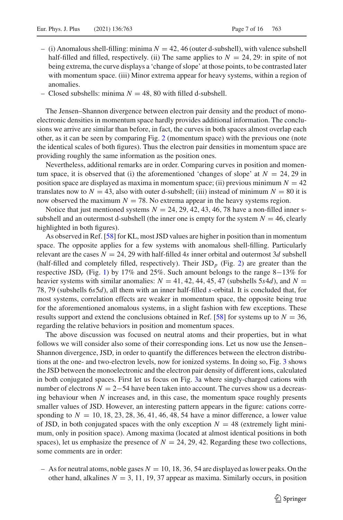- $-$  (i) Anomalous shell-filling: minima  $N = 42, 46$  (outer d-subshell), with valence subshell half-filled and filled, respectively. (ii) The same applies to  $N = 24, 29$ : in spite of not being extrema, the curve displays a 'change of slope' at those points, to be contrasted later with momentum space. (iii) Minor extrema appear for heavy systems, within a region of anomalies.
- Closed subshells: minima  $N = 48, 80$  with filled d-subshell.

The Jensen–Shannon divergence between electron pair density and the product of monoelectronic densities in momentum space hardly provides additional information. The conclusions we arrive are similar than before, in fact, the curves in both spaces almost overlap each other, as it can be seen by comparing Fig. [2](#page-7-1) (momentum space) with the previous one (note the identical scales of both figures). Thus the electron pair densities in momentum space are providing roughly the same information as the position ones.

Nevertheless, additional remarks are in order. Comparing curves in position and momentum space, it is observed that (i) the aforementioned 'changes of slope' at  $N = 24, 29$  in position space are displayed as maxima in momentum space; (ii) previous minimum  $N = 42$ translates now to  $N = 43$ , also with outer d-subshell; (iii) instead of minimum  $N = 80$  it is now observed the maximum  $N = 78$ . No extrema appear in the heavy systems region.

Notice that just mentioned systems  $N = 24, 29, 42, 43, 46, 78$  have a non-filled inner ssubshell and an outermost d-subshell (the inner one is empty for the system  $N = 46$ , clearly highlighted in both figures).

As observed in Ref. [\[58\]](#page-15-14) for KL, most JSD values are higher in position than in momentum space. The opposite applies for a few systems with anomalous shell-filling. Particularly relevant are the cases  $N = 24$ , 29 with half-filled 4*s* inner orbital and outermost 3*d* subshell (half-filled and completely filled, respectively). Their JSD*<sup>p</sup>* (Fig. [2\)](#page-7-1) are greater than the respective JSD*<sup>r</sup>* (Fig. [1\)](#page-5-0) by 17% and 25%. Such amount belongs to the range 8−13% for heavier systems with similar anomalies:  $N = 41, 42, 44, 45, 47$  (subshells 5s4*d*), and  $N =$ 78, 79 (subshells 6*s*5*d*), all them with an inner half-filled *s*-orbital. It is concluded that, for most systems, correlation effects are weaker in momentum space, the opposite being true for the aforementioned anomalous systems, in a slight fashion with few exceptions. These results support and extend the conclusions obtained in Ref. [\[58](#page-15-14)] for systems up to  $N = 36$ , regarding the relative behaviors in position and momentum spaces.

The above discussion was focused on neutral atoms and their properties, but in what follows we will consider also some of their corresponding ions. Let us now use the Jensen– Shannon divergence, JSD, in order to quantify the differences between the electron distributions at the one- and two-electron levels, now for ionized systems. In doing so, Fig. [3](#page-8-0) shows the JSD between the monoelectronic and the electron pair density of different ions, calculated in both conjugated spaces. First let us focus on Fig. [3a](#page-8-0) where singly-charged cations with number of electrons *N* = 2−54 have been taken into account. The curves show us a decreasing behaviour when *N* increases and, in this case, the momentum space roughly presents smaller values of JSD. However, an interesting pattern appears in the figure: cations corresponding to  $N = 10, 18, 23, 28, 36, 41, 46, 48, 54$  have a minor difference, a lower value of JSD, in both conjugated spaces with the only exception  $N = 48$  (extremely light minimum, only in position space). Among maxima (located at almost identical positions in both spaces), let us emphasize the presence of  $N = 24, 29, 42$ . Regarding these two collections, some comments are in order:

 $-$  As for neutral atoms, noble gases  $N = 10, 18, 36, 54$  are displayed as lower peaks. On the other hand, alkalines  $N = 3, 11, 19, 37$  appear as maxima. Similarly occurs, in position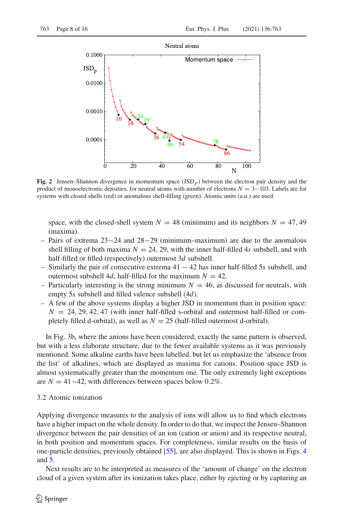

<span id="page-7-1"></span>**Fig. 2** Jensen–Shannon divergence in momentum space  $(JSD<sub>p</sub>)$  between the electron pair density and the product of monoelectronic densities, for neutral atoms with number of electrons *N* = 3−103. Labels are for systems with closed shells (red) or anomalous shell-filling (green). Atomic units (a.u.) are used

space, with the closed-shell system  $N = 48$  (minimum) and its neighbors  $N = 47, 49$ (maxima).

- Pairs of extrema 23−24 and 28−29 (minimum–maximum) are due to the anomalous shell filling of both maxima  $N = 24, 29$ , with the inner half-filled 4*s* subshell, and with half-filled or filled (respectively) outermost 3*d* subshell.
- Similarly the pair of consecutive extrema 41 − 42 has inner half-filled 5*s* subshell, and outermost subshell 4*d*, half-filled for the maximum  $N = 42$ .
- Particularly interesting is the strong minimum  $N = 46$ , as discussed for neutrals, with empty 5*s* subshell and filled valence subshell (4*d*).
- A few of the above systems display a higher JSD in momentum than in position space:  $N = 24, 29, 42, 47$  (with inner half-filled s-orbital and outermost half-filled or completely filled d-orbital), as well as  $N = 25$  (half-filled outermost d-orbital).

In Fig. [3b](#page-8-0), where the anions have been considered, exactly the same pattern is observed, but with a less elaborate structure, due to the fewer available systems as it was previously mentioned. Some alkaline earths have been labelled, but let us emphasize the 'absence from the list' of alkalines, which are displayed as maxima for cations. Position space JSD is almost systematically greater than the momentum one. The only extremely light exceptions are  $N = 41-42$ , with differences between spaces below 0.2%.

#### <span id="page-7-0"></span>3.2 Atomic ionization

Applying divergence measures to the analysis of ions will allow us to find which electrons have a higher impact on the whole density. In order to do that, we inspect the Jensen–Shannon divergence between the pair densities of an ion (cation or anion) and its respective neutral, in both position and momentum spaces. For completeness, similar results on the basis of one-particle densities, previously obtained [\[55](#page-15-11)], are also displayed. This is shown in Figs. [4](#page-9-0) and [5.](#page-12-0)

Next results are to be interpreted as measures of the 'amount of change' on the electron cloud of a given system after its ionization takes place, either by ejecting or by capturing an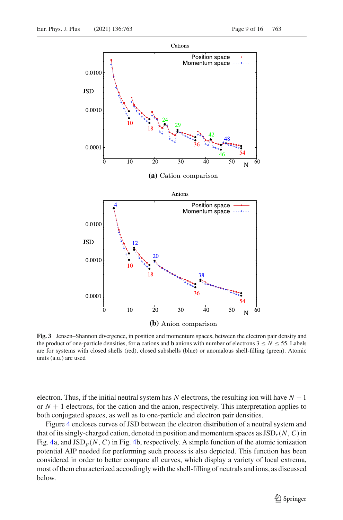

<span id="page-8-0"></span>**Fig. 3** Jensen–Shannon divergence, in position and momentum spaces, between the electron pair density and the product of one-particle densities, for **a** cations and **b** anions with number of electrons  $3 \le N \le 55$ . Labels are for systems with closed shells (red), closed subshells (blue) or anomalous shell-filling (green). Atomic units (a.u.) are used

electron. Thus, if the initial neutral system has *N* electrons, the resulting ion will have *N* −1 or  $N + 1$  electrons, for the cation and the anion, respectively. This interpretation applies to both conjugated spaces, as well as to one-particle and electron pair densities.

Figure [4](#page-9-0) encloses curves of JSD between the electron distribution of a neutral system and that of its singly-charged cation, denoted in position and momentum spaces as  $JSD<sub>r</sub>(N, C)$  in Fig. [4a](#page-9-0), and  $\text{JSD}_p(N, C)$  in Fig. [4b](#page-9-0), respectively. A simple function of the atomic ionization potential AIP needed for performing such process is also depicted. This function has been considered in order to better compare all curves, which display a variety of local extrema, most of them characterized accordingly with the shell-filling of neutrals and ions, as discussed below.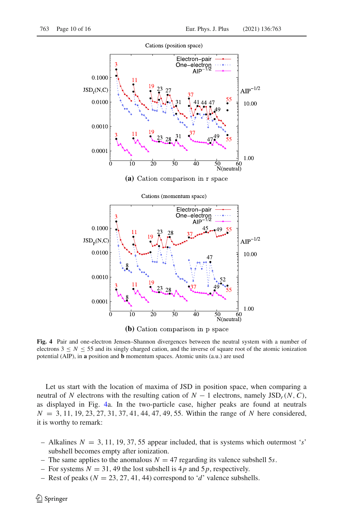

(b) Cation comparison in p space

<span id="page-9-0"></span>**Fig. 4** Pair and one-electron Jensen–Shannon divergences between the neutral system with a number of electrons  $3 \le N \le 55$  and its singly charged cation, and the inverse of square root of the atomic ionization potential (AIP), in **a** position and **b** momentum spaces. Atomic units (a.u.) are used

Let us start with the location of maxima of JSD in position space, when comparing a neutral of *N* electrons with the resulting cation of  $N-1$  electrons, namely JSD<sub>r</sub>(*N*, *C*), as displayed in Fig. [4a](#page-9-0). In the two-particle case, higher peaks are found at neutrals *N* = 3, 11, 19, 23, 27, 31, 37, 41, 44, 47, 49, 55. Within the range of *N* here considered, it is worthy to remark:

- Alkalines  $N = 3, 11, 19, 37, 55$  appear included, that is systems which outermost 's' subshell becomes empty after ionization.
- The same applies to the anomalous  $N = 47$  regarding its valence subshell 5*s*.
- For systems  $N = 31$ , 49 the lost subshell is 4p and 5p, respectively.
- Rest of peaks ( $N = 23, 27, 41, 44$ ) correspond to '*d*' valence subshells.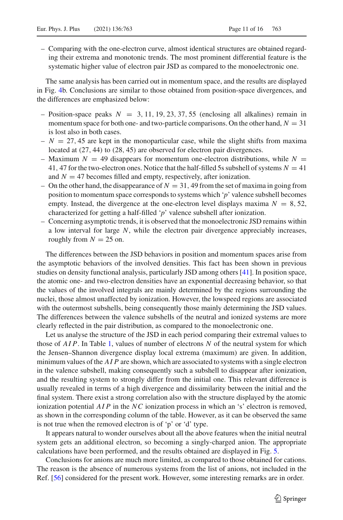– Comparing with the one-electron curve, almost identical structures are obtained regarding their extrema and monotonic trends. The most prominent differential feature is the systematic higher value of electron pair JSD as compared to the monoelectronic one.

The same analysis has been carried out in momentum space, and the results are displayed in Fig. [4b](#page-9-0). Conclusions are similar to those obtained from position-space divergences, and the differences are emphasized below:

- $-$  Position-space peaks  $N = 3, 11, 19, 23, 37, 55$  (enclosing all alkalines) remain in momentum space for both one- and two-particle comparisons. On the other hand,  $N = 31$ is lost also in both cases.
- $N = 27, 45$  are kept in the monoparticular case, while the slight shifts from maxima located at (27, 44) to (28, 45) are observed for electron pair divergences.
- Maximum  $N = 49$  disappears for momentum one-electron distributions, while  $N =$ 41, 47 for the two-electron ones. Notice that the half-filled 5s subshell of systems  $N = 41$ and  $N = 47$  becomes filled and empty, respectively, after ionization.
- On the other hand, the disappearance of  $N = 31$ , 49 from the set of maxima in going from position to momentum space corresponds to systems which '*p*' valence subshell becomes empty. Instead, the divergence at the one-electron level displays maxima  $N = 8, 52$ , characterized for getting a half-filled '*p*' valence subshell after ionization.
- Concerning asymptotic trends, it is observed that the monoelectronic JSD remains within a low interval for large *N*, while the electron pair divergence appreciably increases, roughly from  $N = 25$  on.

The differences between the JSD behaviors in position and momentum spaces arise from the asymptotic behaviors of the involved densities. This fact has been shown in previous studies on density functional analysis, particularly JSD among others [\[41\]](#page-14-20). In position space, the atomic one- and two-electron densities have an exponential decreasing behavior, so that the values of the involved integrals are mainly determined by the regions surrounding the nuclei, those almost unaffected by ionization. However, the lowspeed regions are associated with the outermost subshells, being consequently those mainly determining the JSD values. The differences between the valence subshells of the neutral and ionized systems are more clearly reflected in the pair distribution, as compared to the monoelectronic one.

Let us analyse the structure of the JSD in each period comparing their extremal values to those of *AI P*. In Table [1,](#page-11-0) values of number of electrons *N* of the neutral system for which the Jensen–Shannon divergence display local extrema (maximum) are given. In addition, minimum values of the *AI P* are shown, which are associated to systems with a single electron in the valence subshell, making consequently such a subshell to disappear after ionization, and the resulting system to strongly differ from the initial one. This relevant difference is usually revealed in terms of a high divergence and dissimilarity between the initial and the final system. There exist a strong correlation also with the structure displayed by the atomic ionization potential *AI P* in the *NC* ionization process in which an 's' electron is removed, as shown in the corresponding column of the table. However, as it can be observed the same is not true when the removed electron is of 'p' or 'd' type.

It appears natural to wonder ourselves about all the above features when the initial neutral system gets an additional electron, so becoming a singly-charged anion. The appropriate calculations have been performed, and the results obtained are displayed in Fig. [5.](#page-12-0)

Conclusions for anions are much more limited, as compared to those obtained for cations. The reason is the absence of numerous systems from the list of anions, not included in the Ref. [\[56](#page-15-12)] considered for the present work. However, some interesting remarks are in order.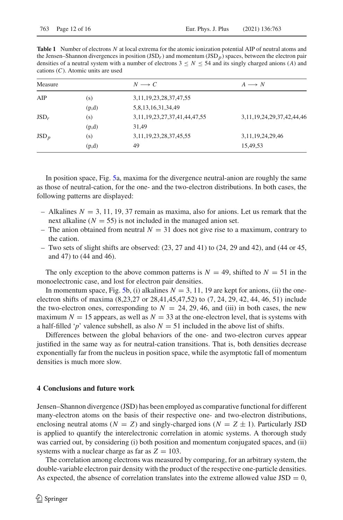<span id="page-11-0"></span>**Table 1** Number of electrons *N* at local extrema for the atomic ionization potential AIP of neutral atoms and the Jensen–Shannon divergences in position (JSD*r*) and momentum (JSD*p*) spaces, between the electron pair densities of a neutral system with a number of electrons  $3 \le N \le 54$  and its singly charged anions (*A*) and cations (*C*). Atomic units are used

| Measure        |       | $N \longrightarrow C$                 | $A \longrightarrow N$             |
|----------------|-------|---------------------------------------|-----------------------------------|
| AIP            | (s)   | 3, 11, 19, 23, 28, 37, 47, 55         |                                   |
|                | (p,d) | 5,8,13,16,31,34,49                    |                                   |
| $JSD_r$        | (s)   | 3, 11, 19, 23, 27, 37, 41, 44, 47, 55 | 3, 11, 19, 24, 29, 37, 42, 44, 46 |
|                | (p,d) | 31,49                                 |                                   |
| $\text{JSD}_p$ | (s)   | 3, 11, 19, 23, 28, 37, 45, 55         | 3, 11, 19, 24, 29, 46             |
|                | (p,d) | 49                                    | 15,49,53                          |

In position space, Fig. [5a](#page-12-0), maxima for the divergence neutral-anion are roughly the same as those of neutral-cation, for the one- and the two-electron distributions. In both cases, the following patterns are displayed:

- $-$  Alkalines  $N = 3, 11, 19, 37$  remain as maxima, also for anions. Let us remark that the next alkaline  $(N = 55)$  is not included in the managed anion set.
- The anion obtained from neutral  $N = 31$  does not give rise to a maximum, contrary to the cation.
- Two sets of slight shifts are observed:  $(23, 27 \text{ and } 41)$  to  $(24, 29 \text{ and } 42)$ , and  $(44 \text{ or } 45,$ and 47) to (44 and 46).

The only exception to the above common patterns is  $N = 49$ , shifted to  $N = 51$  in the monoelectronic case, and lost for electron pair densities.

In momentum space, Fig. [5b](#page-12-0), (i) alkalines  $N = 3, 11, 19$  are kept for anions, (ii) the oneelectron shifts of maxima (8,23,27 or 28,41,45,47,52) to (7, 24, 29, 42, 44, 46, 51) include the two-electron ones, corresponding to  $N = 24, 29, 46,$  and (iii) in both cases, the new maximum  $N = 15$  appears, as well as  $N = 33$  at the one-electron level, that is systems with a half-filled '*p*' valence subshell, as also  $N = 51$  included in the above list of shifts.

Differences between the global behaviors of the one- and two-electron curves appear justified in the same way as for neutral-cation transitions. That is, both densities decrease exponentially far from the nucleus in position space, while the asymptotic fall of momentum densities is much more slow.

### **4 Conclusions and future work**

Jensen–Shannon divergence (JSD) has been employed as comparative functional for different many-electron atoms on the basis of their respective one- and two-electron distributions, enclosing neutral atoms ( $N = Z$ ) and singly-charged ions ( $N = Z \pm 1$ ). Particularly JSD is applied to quantify the interelectronic correlation in atomic systems. A thorough study was carried out, by considering (i) both position and momentum conjugated spaces, and (ii) systems with a nuclear charge as far as  $Z = 103$ .

The correlation among electrons was measured by comparing, for an arbitrary system, the double-variable electron pair density with the product of the respective one-particle densities. As expected, the absence of correlation translates into the extreme allowed value  $JSD = 0$ ,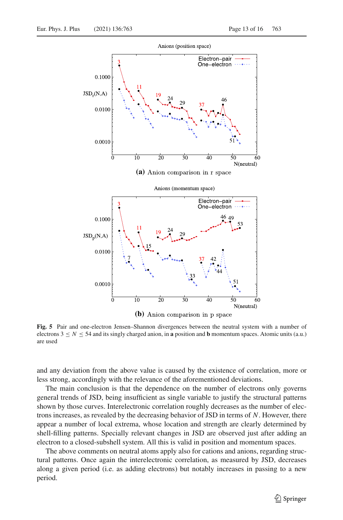

(b) Anion comparison in p space

<span id="page-12-0"></span>**Fig. 5** Pair and one-electron Jensen–Shannon divergences between the neutral system with a number of electrons  $3 \leq N \leq 54$  and its singly charged anion, in **a** position and **b** momentum spaces. Atomic units (a.u.) are used

and any deviation from the above value is caused by the existence of correlation, more or less strong, accordingly with the relevance of the aforementioned deviations.

The main conclusion is that the dependence on the number of electrons only governs general trends of JSD, being insufficient as single variable to justify the structural patterns shown by those curves. Interelectronic correlation roughly decreases as the number of electrons increases, as revealed by the decreasing behavior of JSD in terms of *N*. However, there appear a number of local extrema, whose location and strength are clearly determined by shell-filling patterns. Specially relevant changes in JSD are observed just after adding an electron to a closed-subshell system. All this is valid in position and momentum spaces.

The above comments on neutral atoms apply also for cations and anions, regarding structural patterns. Once again the interelectronic correlation, as measured by JSD, decreases along a given period (i.e. as adding electrons) but notably increases in passing to a new period.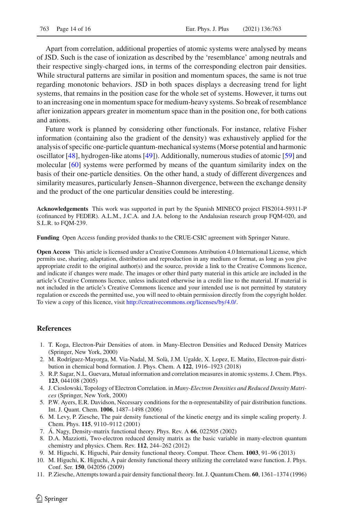Apart from correlation, additional properties of atomic systems were analysed by means of JSD. Such is the case of ionization as described by the 'resemblance' among neutrals and their respective singly-charged ions, in terms of the corresponding electron pair densities. While structural patterns are similar in position and momentum spaces, the same is not true regarding monotonic behaviors. JSD in both spaces displays a decreasing trend for light systems, that remains in the position case for the whole set of systems. However, it turns out to an increasing one in momentum space for medium-heavy systems. So break of resemblance after ionization appears greater in momentum space than in the position one, for both cations and anions.

Future work is planned by considering other functionals. For instance, relative Fisher information (containing also the gradient of the density) was exhaustively applied for the analysis of specific one-particle quantum-mechanical systems (Morse potential and harmonic oscillator [\[48\]](#page-15-4), hydrogen-like atoms [\[49\]](#page-15-5)). Additionally, numerous studies of atomic [\[59](#page-15-15)] and molecular [\[60\]](#page-15-16) systems were performed by means of the quantum similarity index on the basis of their one-particle densities. On the other hand, a study of different divergences and similarity measures, particularly Jensen–Shannon divergence, between the exchange density and the product of the one particular densities could be interesting.

**Acknowledgements** This work was supported in part by the Spanish MINECO project FIS2014-59311-P (cofinanced by FEDER). A.L.M., J.C.A. and J.A. belong to the Andalusian research group FQM-020, and S.L.R. to FQM-239.

**Funding** Open Access funding provided thanks to the CRUE-CSIC agreement with Springer Nature.

**Open Access** This article is licensed under a Creative Commons Attribution 4.0 International License, which permits use, sharing, adaptation, distribution and reproduction in any medium or format, as long as you give appropriate credit to the original author(s) and the source, provide a link to the Creative Commons licence, and indicate if changes were made. The images or other third party material in this article are included in the article's Creative Commons licence, unless indicated otherwise in a credit line to the material. If material is not included in the article's Creative Commons licence and your intended use is not permitted by statutory regulation or exceeds the permitted use, you will need to obtain permission directly from the copyright holder. To view a copy of this licence, visit [http://creativecommons.org/licenses/by/4.0/.](http://creativecommons.org/licenses/by/4.0/)

#### **References**

- <span id="page-13-0"></span>1. T. Koga, Electron-Pair Densities of atom. in Many-Electron Densities and Reduced Density Matrices (Springer, New York, 2000)
- <span id="page-13-1"></span>2. M. Rodríguez-Mayorga, M. Via-Nadal, M. Solà, J.M. Ugalde, X. Lopez, E. Matito, Electron-pair distribution in chemical bond formation. J. Phys. Chem. A **122**, 1916–1923 (2018)
- <span id="page-13-2"></span>3. R.P. Sagar, N.L. Guevara, Mutual information and correlation measures in atomic systems. J. Chem. Phys. **123**, 044108 (2005)
- <span id="page-13-3"></span>4. J. Cioslowski, Topology of Electron Correlation. in *Many-Electron Densities and Reduced Density Matrices* (Springer, New York, 2000)
- <span id="page-13-4"></span>5. P.W. Ayers, E.R. Davidson, Necessary conditions for the n-representability of pair distribution functions. Int. J. Quant. Chem. **1006**, 1487–1498 (2006)
- <span id="page-13-5"></span>6. M. Levy, P. Ziesche, The pair density functional of the kinetic energy and its simple scaling property. J. Chem. Phys. **115**, 9110–9112 (2001)
- <span id="page-13-6"></span>7. Á. Nagy, Density-matrix functional theory. Phys. Rev. A **66**, 022505 (2002)
- <span id="page-13-7"></span>8. D.A. Mazziotti, Two-electron reduced density matrix as the basic variable in many-electron quantum chemistry and physics. Chem. Rev. **112**, 244–262 (2012)
- <span id="page-13-8"></span>9. M. Higuchi, K. Higuchi, Pair density functional theory. Comput. Theor. Chem. **1003**, 91–96 (2013)
- <span id="page-13-9"></span>10. M. Higuchi, K. Higuchi, A pair density functional theory utilizing the correlated wave function. J. Phys. Conf. Ser. **150**, 042056 (2009)
- <span id="page-13-10"></span>11. P. Ziesche, Attempts toward a pair density functional theory. Int. J. Quantum Chem. **60**, 1361–1374 (1996)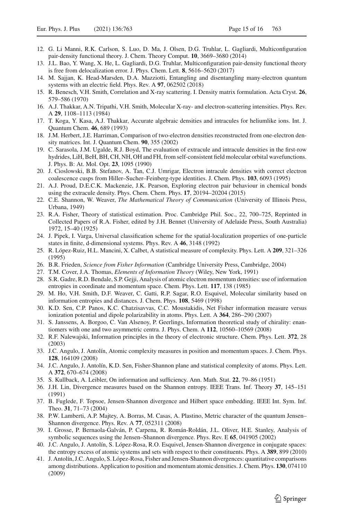- <span id="page-14-0"></span>12. G. Li Manni, R.K. Carlson, S. Luo, D. Ma, J. Olsen, D.G. Truhlar, L. Gagliardi, Multiconfiguration pair-density functional theory. J. Chem. Theory Comput. **10**, 3669–3680 (2014)
- <span id="page-14-1"></span>13. J.L. Bao, Y. Wang, X. He, L. Gagliardi, D.G. Truhlar, Multiconfiguration pair-density functional theory is free from delocalization error. J. Phys. Chem. Lett. **8**, 5616–5620 (2017)
- <span id="page-14-2"></span>14. M. Sajjan, K. Head-Marsden, D.A. Mazziotti, Entangling and disentangling many-electron quantum systems with an electric field. Phys. Rev. A **97**, 062502 (2018)
- <span id="page-14-3"></span>15. R. Benesch, V.H. Smith, Correlation and X-ray scattering. I. Density matrix formulation. Acta Cryst. **26**, 579–586 (1970)
- <span id="page-14-4"></span>16. A.J. Thakkar, A.N. Tripathi, V.H. Smith, Molecular X-ray- and electron-scattering intensities. Phys. Rev. A **29**, 1108–1113 (1984)
- <span id="page-14-5"></span>17. T. Koga, Y. Kasa, A.J. Thakkar, Accurate algebraic densities and intracules for heliumlike ions. Int. J. Quantum Chem. **46**, 689 (1993)
- 18. J.M. Herbert, J.E. Harriman, Comparison of two-electron densities reconstructed from one-electron density matrices. Int. J. Quantum Chem. **90**, 355 (2002)
- 19. C. Sarasola, J.M. Ugalde, R.J. Boyd, The evaluation of extracule and intracule densities in the first-row hydrides, LiH, BeH, BH, CH, NH, OH and FH, from self-consistent field molecular orbital wavefunctions. J. Phys. B: At. Mol. Opt. **23**, 1095 (1990)
- 20. J. Cioslowski, B.B. Stefanov, A. Tan, C.J. Umrigar, Electron intracule densities with correct electron coalescence cusps from Hiller–Sucher–Feinberg-type identities. J. Chem. Phys. **103**, 6093 (1995)
- <span id="page-14-6"></span>21. A.J. Proud, D.E.C.K. Mackenzie, J.K. Pearson, Exploring electron pair behaviour in chemical bonds using the extracule density. Phys. Chem. Chem. Phys. **17**, 20194–20204 (2015)
- <span id="page-14-7"></span>22. C.E. Shannon, W. Weaver, *The Mathematical Theory of Communication* (University of Illinois Press, Urbana, 1949)
- <span id="page-14-8"></span>23. R.A. Fisher, Theory of statistical estimation. Proc. Cambridge Phil. Soc., 22, 700–725, Reprinted in Collected Papers of R.A. Fisher, edited by J.H. Bennet (University of Adelaide Press, South Australia) 1972, 15–40 (1925)
- <span id="page-14-9"></span>24. J. Pipek, I. Varga, Universal classification scheme for the spatial-localization properties of one-particle states in finite, d-dimensional systems. Phys. Rev. A **46**, 3148 (1992)
- <span id="page-14-10"></span>25. R. López-Ruiz, H.L. Mancini, X. Calbet, A statistical measure of complexity. Phys. Lett. A **209**, 321–326 (1995)
- <span id="page-14-11"></span>26. B.R. Frieden, *Science from Fisher Information* (Cambridge University Press, Cambridge, 2004)
- <span id="page-14-12"></span>27. T.M. Cover, J.A. Thomas, *Elements of Information Theory* (Wiley, New York, 1991)
- 28. S.R. Gadre, R.D. Bendale, S.P. Gejji, Analysis of atomic electron momentum densities: use of information entropies in coordinate and momentum space. Chem. Phys. Lett. **117**, 138 (1985)
- <span id="page-14-19"></span>29. M. Ho, V.H. Smith, D.F. Weaver, C. Gatti, R.P. Sagar, R.O. Esquivel, Molecular similarity based on information entropies and distances. J. Chem. Phys. **108**, 5469 (1998)
- 30. K.D. Sen, C.P. Panos, K.C. Chatzisavvas, C.C. Moustakidis, Net Fisher information measure versus ionization potential and dipole polarizability in atoms. Phys. Lett. A **364**, 286–290 (2007)
- 31. S. Janssens, A. Borgoo, C. Van Alsenoy, P. Geerlings, Information theoretical study of chirality: enantiomers with one and two asymmetric centra. J. Phys. Chem. A **112**, 10560–10569 (2008)
- 32. R.F. Nalewajski, Information principles in the theory of electronic structure. Chem. Phys. Lett. **372**, 28 (2003)
- 33. J.C. Angulo, J. Antolín, Atomic complexity measures in position and momentum spaces. J. Chem. Phys. **128**, 164109 (2008)
- <span id="page-14-13"></span>34. J.C. Angulo, J. Antolín, K.D. Sen, Fisher-Shannon plane and statistical complexity of atoms. Phys. Lett. A **372**, 670–674 (2008)
- <span id="page-14-14"></span>35. S. Kullback, A. Leibler, On information and sufficiency. Ann. Math. Stat. **22**, 79–86 (1951)
- 36. J.H. Lin, Divergence measures based on the Shannon entropy. IEEE Trans. Inf. Theory **37**, 145–151 (1991)
- <span id="page-14-15"></span>37. B. Fuglede, F. Topsoe, Jensen-Shannon divergence and Hilbert space embedding. IEEE Int. Sym. Inf. Theo. **31**, 71–73 (2004)
- <span id="page-14-16"></span>38. P.W. Lamberti, A.P. Majtey, A. Borras, M. Casas, A. Plastino, Metric character of the quantum Jensen– Shannon divergence. Phys. Rev. A **77**, 052311 (2008)
- <span id="page-14-17"></span>39. I. Grosse, P. Bernaola-Galván, P. Carpena, R. Román-Roldán, J.L. Oliver, H.E. Stanley, Analysis of symbolic sequences using the Jensen–Shannon divergence. Phys. Rev. E **65**, 041905 (2002)
- <span id="page-14-18"></span>40. J.C. Angulo, J. Antolín, S. López-Rosa, R.O. Esquivel, Jensen-Shannon divergence in conjugate spaces: the entropy excess of atomic systems and sets with respect to their constituents. Phys. A **389**, 899 (2010)
- <span id="page-14-20"></span>41. J. Antolín, J.C. Angulo, S. López-Rosa, Fisher and Jensen-Shannon divergences: quantitative comparisons among distributions. Application to position and momentum atomic densities. J. Chem. Phys. **130**, 074110 (2009)